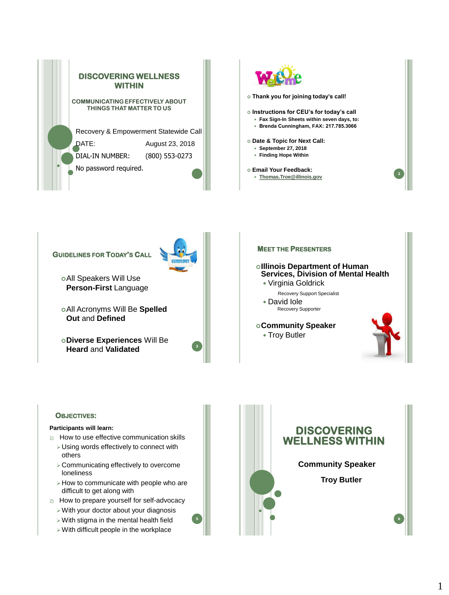





All Acronyms Will Be **Spelled Out** and **Defined**

**Diverse Experiences** Will Be **Heard** and **Validated <sup>4</sup>**



## **OBJECTIVES:**

### **Participants will learn:**

- 1) How to use effective communication skills
	- ➢Using words effectively to connect with others
	- ➢Communicating effectively to overcome loneliness
	- ➢How to communicate with people who are difficult to get along with
- 2) How to prepare yourself for self-advocacy
	- ➢With your doctor about your diagnosis
	- ➢With stigma in the mental health field
	- ➢With difficult people in the workplace

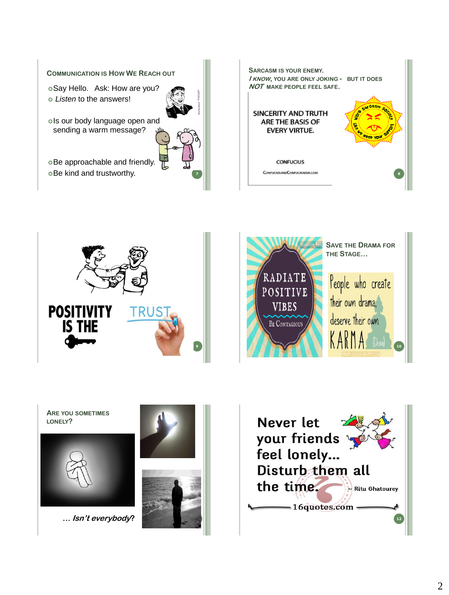









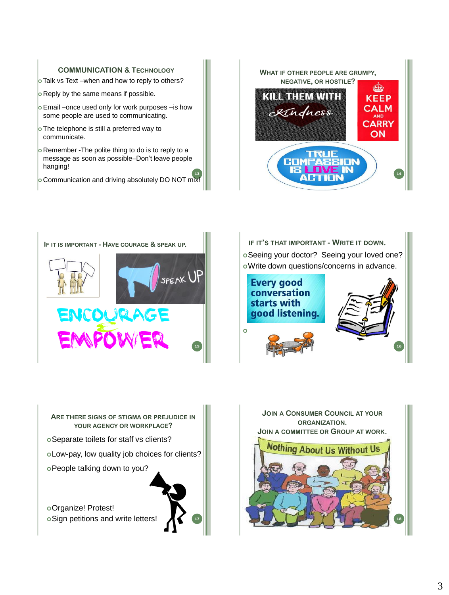# **COMMUNICATION & TECHNOLOGY**

- Talk vs Text –when and how to reply to others?
- **Reply by the same means if possible.**
- o Email –once used only for work purposes –is how some people are used to communicating.
- o The telephone is still a preferred way to communicate.
- o Remember -The polite thing to do is to reply to a message as soon as possible–Don't leave people hanging!
- <sup>13</sup><br>Communication and driving absolutely DO NOT mix!











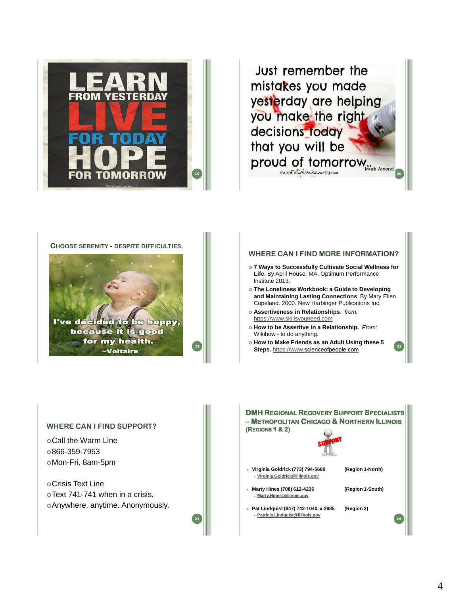

Just remember the mistakes you made yesterday are helping you make the right decisions today that you will be **19 Proud of tomorrow** 

#### **CHOOSE SERENITY - DESPITE DIFFICULTIES.**



**21**

### **WHERE CAN I FIND MORE INFORMATION?**

- **7 Ways to Successfully Cultivate Social Wellness for Life.** By April House, MA. Optimum Performance Institute 2013.
- **The Loneliness Workbook: a Guide to Developing and Maintaining Lasting Connections**. By Mary Ellen Copeland. 2000. New Harbinger Publications Inc.
- **Assertiveness in Relationships**. *from:* [https://www.skillsyouneed.com](https://www.skillsyouneed.com/)
- **How to be Assertive in a Relationship.** *From:* Wikihow - to do anything.
- **How to Make Friends as an Adult Using these 5 Steps.** [https://www.s](https://www.skillsyouneed.com/)cienceofpeople.com **<sup>22</sup>**

### **WHERE CAN I FIND SUPPORT?**

Call the Warm Line 866-359-7953 Mon-Fri, 8am-5pm

Crisis Text Line Text 741-741 when in a crisis. Anywhere, anytime. Anonymously.

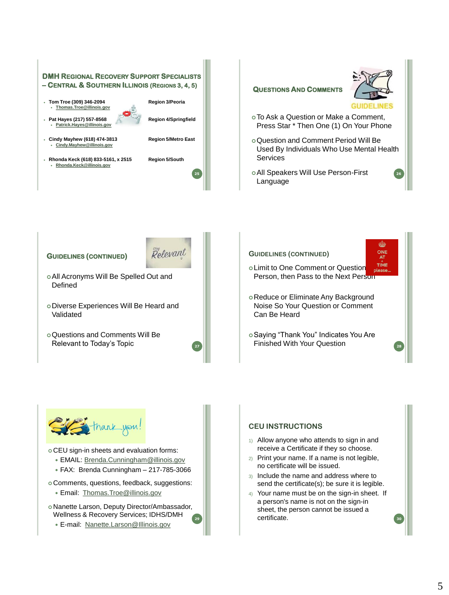



- CEU sign-in sheets and evaluation forms:
	- EMAIL: [Brenda.Cunningham@illinois.gov](mailto:Brenda.Cunningham@illinois.gov)
	- FAX: Brenda Cunningham 217-785-3066
- Comments, questions, feedback, suggestions: Email: [Thomas.Troe@illinois.gov](mailto:Thomas.Troe@illinois.gov)
- **29** Nanette Larson, Deputy Director/Ambassador, Wellness & Recovery Services; IDHS/DMH
	- E-mail: [Nanette.Larson@Illinois.gov](mailto:Nanette.Larson@Illinois.gov)

## **CEU INSTRUCTIONS**

- 1) Allow anyone who attends to sign in and receive a Certificate if they so choose.
- 2) Print your name. If a name is not legible, no certificate will be issued.
- 3) Include the name and address where to send the certificate(s); be sure it is legible.
- 4) Your name must be on the sign-in sheet. If a person's name is not on the sign-in sheet, the person cannot be issued a certificate.